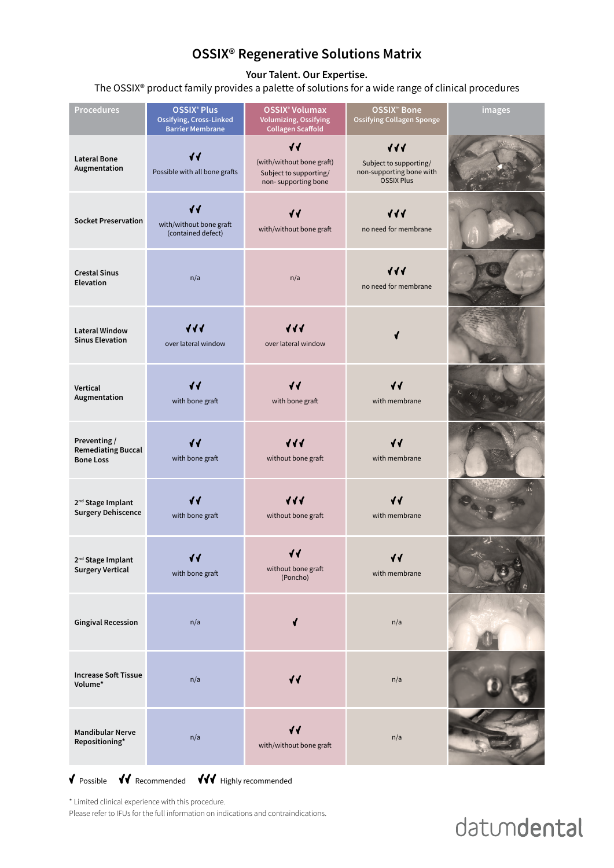## **OSSIX® Regenerative Solutions Matrix**

**Your Talent. Our Expertise.**

The OSSIX® product family provides a palette of solutions for a wide range of clinical procedures

| <b>Procedures</b>                                             | <b>OSSIX® Plus</b><br><b>Ossifying, Cross-Linked</b><br><b>Barrier Membrane</b> | <b>OSSIX<sup>®</sup> Volumax</b><br><b>Volumizing, Ossifying</b><br><b>Collagen Scaffold</b>  | <b>OSSIX<sup>™</sup> Bone</b><br><b>Ossifying Collagen Sponge</b>                      | images |
|---------------------------------------------------------------|---------------------------------------------------------------------------------|-----------------------------------------------------------------------------------------------|----------------------------------------------------------------------------------------|--------|
| <b>Lateral Bone</b><br>Augmentation                           | √√<br>Possible with all bone grafts                                             | $\blacklozenge$<br>(with/without bone graft)<br>Subject to supporting/<br>non-supporting bone | $\sqrt{11}$<br>Subject to supporting/<br>non-supporting bone with<br><b>OSSIX Plus</b> |        |
| <b>Socket Preservation</b>                                    | $\blacklozenge$<br>with/without bone graft<br>(contained defect)                | √√<br>with/without bone graft                                                                 | $\sqrt{11}$<br>no need for membrane                                                    |        |
| <b>Crestal Sinus</b><br><b>Elevation</b>                      | n/a                                                                             | n/a                                                                                           | $\sqrt{11}$<br>no need for membrane                                                    |        |
| <b>Lateral Window</b><br><b>Sinus Elevation</b>               | $\sqrt{11}$<br>over lateral window                                              | $\sqrt{11}$<br>over lateral window                                                            |                                                                                        |        |
| Vertical<br>Augmentation                                      | with bone graft                                                                 | √√<br>with bone graft                                                                         | with membrane                                                                          |        |
| Preventing /<br><b>Remediating Buccal</b><br><b>Bone Loss</b> | with bone graft                                                                 | $\sqrt{\sqrt{1}}$<br>without bone graft                                                       | with membrane                                                                          |        |
| 2 <sup>nd</sup> Stage Implant<br><b>Surgery Dehiscence</b>    | $\blacklozenge$<br>with bone graft                                              | $\sqrt{11}$<br>without bone graft                                                             | $\blacklozenge$<br>with membrane                                                       |        |
| 2 <sup>nd</sup> Stage Implant<br><b>Surgery Vertical</b>      | √√<br>with bone graft                                                           | $\blacklozenge$<br>without bone graft<br>(Poncho)                                             | √√<br>with membrane                                                                    |        |
| <b>Gingival Recession</b>                                     | n/a                                                                             |                                                                                               | n/a                                                                                    |        |

| <b>Increase Soft Tissue</b><br>Volume*    | n/a | $\blacklozenge$                            | n/a |  |
|-------------------------------------------|-----|--------------------------------------------|-----|--|
| <b>Mandibular Nerve</b><br>Repositioning* | n/a | $\blacklozenge$<br>with/without bone graft | n/a |  |

### V Possible VV Recommended VVV Highly recommended

\* Limited clinical experience with this procedure.

Please refer to IFUs for the full information on indications and contraindications.